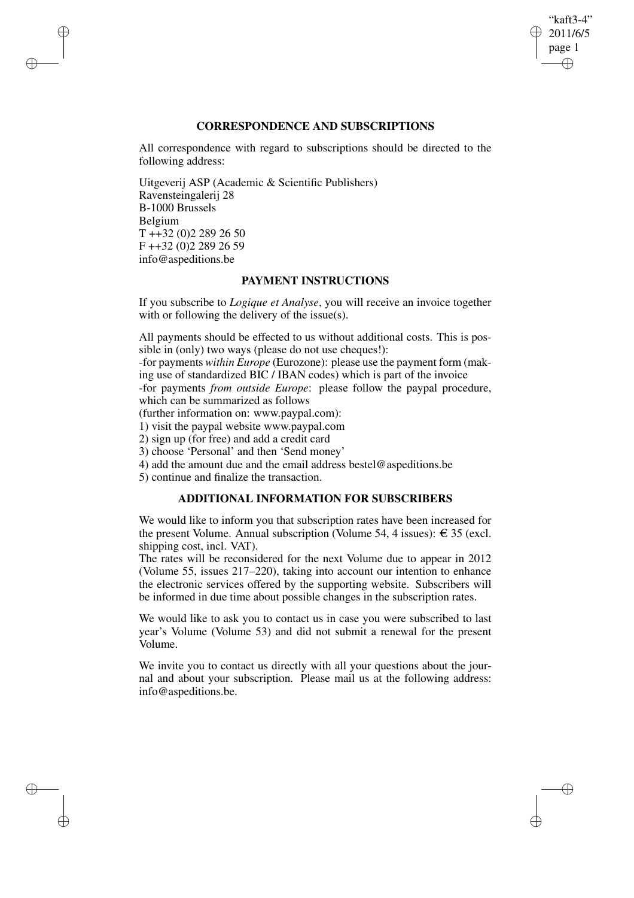## "kaft3-4" 2011/6/5 page 1 ✐ ✐

✐

✐

## **CORRESPONDENCE AND SUBSCRIPTIONS**

All correspondence with regard to subscriptions should be directed to the following address:

Uitgeverij ASP (Academic & Scientific Publishers) Ravensteingalerij 28 B-1000 Brussels Belgium T ++32 (0)2 289 26 50 F ++32 (0)2 289 26 59 info@aspeditions.be

✐

✐

✐

✐

## **PAYMENT INSTRUCTIONS**

If you subscribe to *Logique et Analyse*, you will receive an invoice together with or following the delivery of the issue(s).

All payments should be effected to us without additional costs. This is possible in (only) two ways (please do not use cheques!):

-for payments *within Europe* (Eurozone): please use the payment form (making use of standardized BIC / IBAN codes) which is part of the invoice

-for payments *from outside Europe*: please follow the paypal procedure, which can be summarized as follows

(further information on: www.paypal.com):

1) visit the paypal website www.paypal.com

2) sign up (for free) and add a credit card

3) choose 'Personal' and then 'Send money'

4) add the amount due and the email address bestel@aspeditions.be

5) continue and finalize the transaction.

## **ADDITIONAL INFORMATION FOR SUBSCRIBERS**

We would like to inform you that subscription rates have been increased for the present Volume. Annual subscription (Volume 54, 4 issues):  $\epsilon$  35 (excl. shipping cost, incl. VAT).

The rates will be reconsidered for the next Volume due to appear in 2012 (Volume 55, issues 217–220), taking into account our intention to enhance the electronic services offered by the supporting website. Subscribers will be informed in due time about possible changes in the subscription rates.

We would like to ask you to contact us in case you were subscribed to last year's Volume (Volume 53) and did not submit a renewal for the present Volume.

We invite you to contact us directly with all your questions about the journal and about your subscription. Please mail us at the following address: info@aspeditions.be.